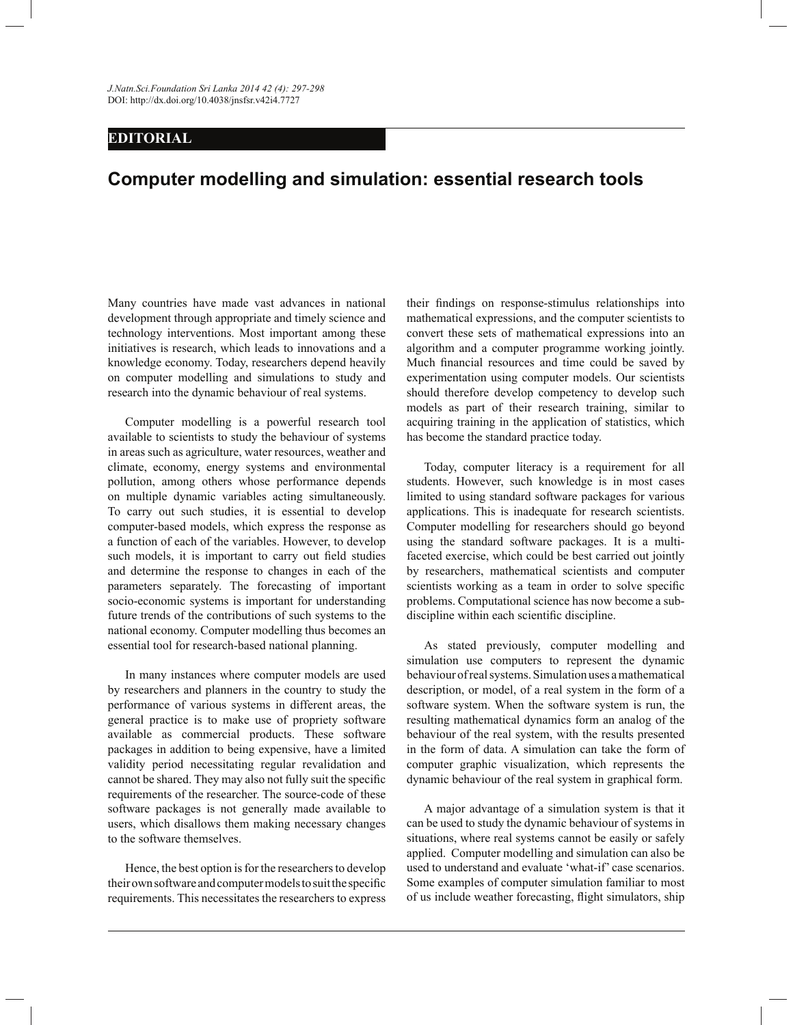*J.Natn.Sci.Foundation Sri Lanka 2014 42 (4): 297-298* DOI: http://dx.doi.org/10.4038/jnsfsr.v42i4.7727

## **EDITORIAL**

## **Computer modelling and simulation: essential research tools**

Many countries have made vast advances in national development through appropriate and timely science and technology interventions. Most important among these initiatives is research, which leads to innovations and a knowledge economy. Today, researchers depend heavily on computer modelling and simulations to study and research into the dynamic behaviour of real systems.

 Computer modelling is a powerful research tool available to scientists to study the behaviour of systems in areas such as agriculture, water resources, weather and climate, economy, energy systems and environmental pollution, among others whose performance depends on multiple dynamic variables acting simultaneously. To carry out such studies, it is essential to develop computer-based models, which express the response as a function of each of the variables. However, to develop such models, it is important to carry out field studies and determine the response to changes in each of the parameters separately. The forecasting of important socio-economic systems is important for understanding future trends of the contributions of such systems to the national economy. Computer modelling thus becomes an essential tool for research-based national planning.

 In many instances where computer models are used by researchers and planners in the country to study the performance of various systems in different areas, the general practice is to make use of propriety software available as commercial products. These software packages in addition to being expensive, have a limited validity period necessitating regular revalidation and cannot be shared. They may also not fully suit the specific requirements of the researcher. The source-code of these software packages is not generally made available to users, which disallows them making necessary changes to the software themselves.

 Hence, the best option is for the researchers to develop their own software and computer models to suit the specific requirements. This necessitates the researchers to express their findings on response-stimulus relationships into mathematical expressions, and the computer scientists to convert these sets of mathematical expressions into an algorithm and a computer programme working jointly. Much financial resources and time could be saved by experimentation using computer models. Our scientists should therefore develop competency to develop such models as part of their research training, similar to acquiring training in the application of statistics, which has become the standard practice today.

 Today, computer literacy is a requirement for all students. However, such knowledge is in most cases limited to using standard software packages for various applications. This is inadequate for research scientists. Computer modelling for researchers should go beyond using the standard software packages. It is a multifaceted exercise, which could be best carried out jointly by researchers, mathematical scientists and computer scientists working as a team in order to solve specific problems. Computational science has now become a subdiscipline within each scientific discipline.

 As stated previously, computer modelling and simulation use computers to represent the dynamic behaviour of real systems. Simulation uses a mathematical description, or model, of a real system in the form of a software system. When the software system is run, the resulting mathematical dynamics form an analog of the behaviour of the real system, with the results presented in the form of data. A simulation can take the form of computer graphic visualization, which represents the dynamic behaviour of the real system in graphical form.

 A major advantage of a simulation system is that it can be used to study the dynamic behaviour of systems in situations, where real systems cannot be easily or safely applied. Computer modelling and simulation can also be used to understand and evaluate 'what-if' case scenarios. Some examples of computer simulation familiar to most of us include weather forecasting, flight simulators, ship